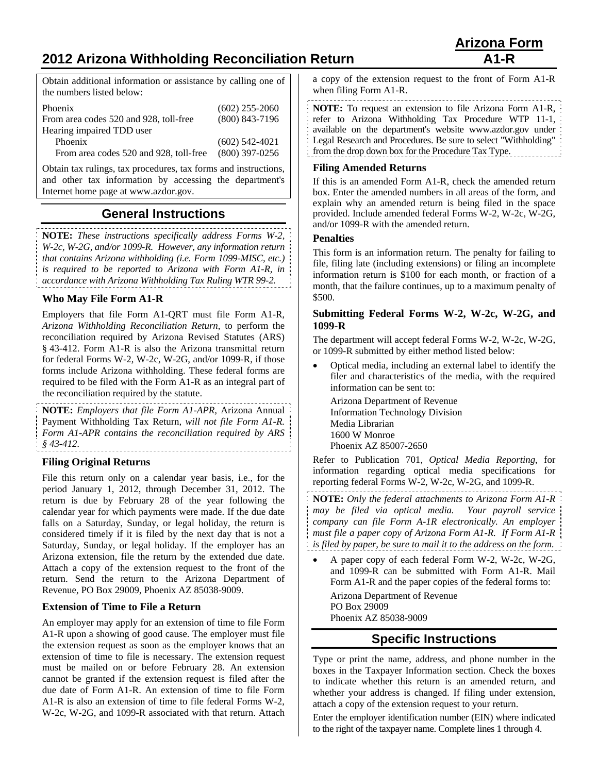## **2012 Arizona Withholding Reconciliation Return A1-R**

Obtain additional information or assistance by calling one of the numbers listed below:

| Phoenix                                | $(602)$ 255-2060 |
|----------------------------------------|------------------|
| From area codes 520 and 928, toll-free | $(800)$ 843-7196 |
| Hearing impaired TDD user              |                  |
| Phoenix                                | $(602)$ 542-4021 |
| From area codes 520 and 928, toll-free | $(800)$ 397-0256 |

Obtain tax rulings, tax procedures, tax forms and instructions, and other tax information by accessing the department's Internet home page at www.azdor.gov.

# **General Instructions**

**NOTE:** *These instructions specifically address Forms W-2, W-2c, W-2G, and/or 1099-R. However, any information return that contains Arizona withholding (i.e. Form 1099-MISC, etc.) is required to be reported to Arizona with Form A1-R, in accordance with Arizona Withholding Tax Ruling WTR 99-2.*

#### **Who May File Form A1-R**

Employers that file Form A1-QRT must file Form A1-R, *Arizona Withholding Reconciliation Return*, to perform the reconciliation required by Arizona Revised Statutes (ARS) § 43-412. Form A1-R is also the Arizona transmittal return for federal Forms W-2, W-2c, W-2G, and/or 1099-R, if those forms include Arizona withholding. These federal forms are required to be filed with the Form A1-R as an integral part of the reconciliation required by the statute.

**NOTE:** *Employers that file Form A1-APR,* Arizona Annual Payment Withholding Tax Return*, will not file Form A1-R. Form A1-APR contains the reconciliation required by ARS § 43-412.*

#### **Filing Original Returns**

File this return only on a calendar year basis, i.e., for the period January 1, 2012, through December 31, 2012. The return is due by February 28 of the year following the calendar year for which payments were made. If the due date falls on a Saturday, Sunday, or legal holiday, the return is considered timely if it is filed by the next day that is not a Saturday, Sunday, or legal holiday. If the employer has an Arizona extension, file the return by the extended due date. Attach a copy of the extension request to the front of the return. Send the return to the Arizona Department of Revenue, PO Box 29009, Phoenix AZ 85038-9009.

#### **Extension of Time to File a Return**

An employer may apply for an extension of time to file Form A1-R upon a showing of good cause. The employer must file the extension request as soon as the employer knows that an extension of time to file is necessary. The extension request must be mailed on or before February 28. An extension cannot be granted if the extension request is filed after the due date of Form A1-R. An extension of time to file Form A1-R is also an extension of time to file federal Forms W-2, W-2c, W-2G, and 1099-R associated with that return. Attach

a copy of the extension request to the front of Form A1-R when filing Form A1-R.

**NOTE:** To request an extension to file Arizona Form A1-R, refer to Arizona Withholding Tax Procedure WTP 11-1, available on the department's website www.azdor.gov under Legal Research and Procedures. Be sure to select "Withholding" from the drop down box for the Procedure Tax Type.

#### **Filing Amended Returns**

If this is an amended Form A1-R, check the amended return box. Enter the amended numbers in all areas of the form, and explain why an amended return is being filed in the space provided. Include amended federal Forms W-2, W-2c, W-2G, and/or 1099-R with the amended return.

#### **Penalties**

This form is an information return. The penalty for failing to file, filing late (including extensions) or filing an incomplete information return is \$100 for each month, or fraction of a month, that the failure continues, up to a maximum penalty of \$500.

#### **Submitting Federal Forms W-2, W-2c, W-2G, and 1099-R**

The department will accept federal Forms W-2, W-2c, W-2G, or 1099-R submitted by either method listed below:

 Optical media, including an external label to identify the filer and characteristics of the media, with the required information can be sent to:

 Arizona Department of Revenue Information Technology Division Media Librarian 1600 W Monroe Phoenix AZ 85007-2650

Refer to Publication 701, *Optical Media Reporting*, for information regarding optical media specifications for reporting federal Forms W-2, W-2c, W-2G, and 1099-R.

**NOTE:** *Only the federal attachments to Arizona Form A1-R may be filed via optical media. Your payroll service company can file Form A-1R electronically. An employer must file a paper copy of Arizona Form A1-R. If Form A1-R is filed by paper, be sure to mail it to the address on the form.* 

 A paper copy of each federal Form W-2, W-2c, W-2G, and 1099-R can be submitted with Form A1-R. Mail Form A1-R and the paper copies of the federal forms to: Arizona Department of Revenue PO Box 29009 Phoenix AZ 85038-9009

### **Specific Instructions**

Type or print the name, address, and phone number in the boxes in the Taxpayer Information section. Check the boxes to indicate whether this return is an amended return, and whether your address is changed. If filing under extension, attach a copy of the extension request to your return.

Enter the employer identification number (EIN) where indicated to the right of the taxpayer name. Complete lines 1 through 4.